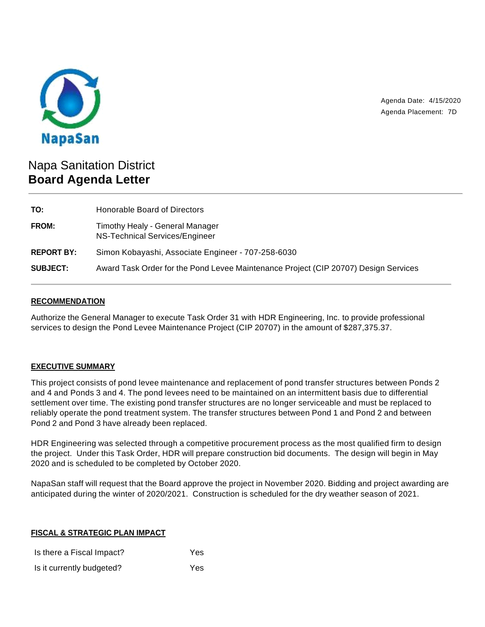

Agenda Date: 4/15/2020 Agenda Placement: 7D

# Napa Sanitation District **Board Agenda Letter**

| TO:               | Honorable Board of Directors                                                        |  |
|-------------------|-------------------------------------------------------------------------------------|--|
| FROM:             | Timothy Healy - General Manager<br>NS-Technical Services/Engineer                   |  |
| <b>REPORT BY:</b> | Simon Kobayashi, Associate Engineer - 707-258-6030                                  |  |
| <b>SUBJECT:</b>   | Award Task Order for the Pond Levee Maintenance Project (CIP 20707) Design Services |  |

# **RECOMMENDATION**

Authorize the General Manager to execute Task Order 31 with HDR Engineering, Inc. to provide professional services to design the Pond Levee Maintenance Project (CIP 20707) in the amount of \$287,375.37.

# **EXECUTIVE SUMMARY**

This project consists of pond levee maintenance and replacement of pond transfer structures between Ponds 2 and 4 and Ponds 3 and 4. The pond levees need to be maintained on an intermittent basis due to differential settlement over time. The existing pond transfer structures are no longer serviceable and must be replaced to reliably operate the pond treatment system. The transfer structures between Pond 1 and Pond 2 and between Pond 2 and Pond 3 have already been replaced.

HDR Engineering was selected through a competitive procurement process as the most qualified firm to design the project. Under this Task Order, HDR will prepare construction bid documents. The design will begin in May 2020 and is scheduled to be completed by October 2020.

NapaSan staff will request that the Board approve the project in November 2020. Bidding and project awarding are anticipated during the winter of 2020/2021. Construction is scheduled for the dry weather season of 2021.

#### **FISCAL & STRATEGIC PLAN IMPACT**

| Is there a Fiscal Impact? | Yes |
|---------------------------|-----|
| Is it currently budgeted? | Yes |